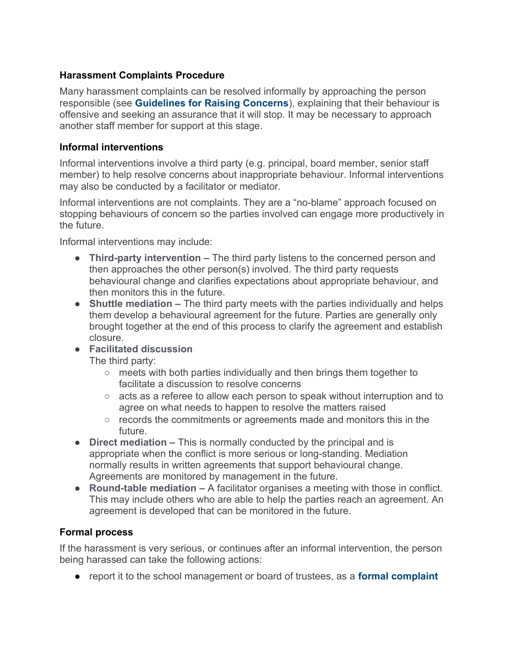## **Harassment Complaints Procedure**

Many harassment complaints can be resolved informally by approaching the person responsible (see **[Guidelines for Raising Concerns](https://docs.google.com/document/d/1nLUgfHEM2lKoNhPb63xktpkQaEvayxb2GPT4nQ0D76I/edit#heading=h.f7a4e47ovs6m)**), explaining that their behaviour is offensive and seeking an assurance that it will stop. It may be necessary to approach another staff member for support at this stage.

## **Informal interventions**

Informal interventions involve a third party (e.g. principal, board member, senior staff member) to help resolve concerns about inappropriate behaviour. Informal interventions may also be conducted by a facilitator or mediator.

Informal interventions are not complaints. They are a "no-blame" approach focused on stopping behaviours of concern so the parties involved can engage more productively in the future.

Informal interventions may include:

- **Third-party intervention** The third party listens to the concerned person and then approaches the other person(s) involved. The third party requests behavioural change and clarifies expectations about appropriate behaviour, and then monitors this in the future.
- **Shuttle mediation** The third party meets with the parties individually and helps them develop a behavioural agreement for the future. Parties are generally only brought together at the end of this process to clarify the agreement and establish closure.
- **Facilitated discussion**

The third party:

- meets with both parties individually and then brings them together to facilitate a discussion to resolve concerns
- acts as a referee to allow each person to speak without interruption and to agree on what needs to happen to resolve the matters raised
- records the commitments or agreements made and monitors this in the future.
- **Direct mediation** This is normally conducted by the principal and is appropriate when the conflict is more serious or long-standing. Mediation normally results in written agreements that support behavioural change. Agreements are monitored by management in the future.
- **Round-table mediation** A facilitator organises a meeting with those in conflict. This may include others who are able to help the parties reach an agreement. An agreement is developed that can be monitored in the future.

## **Formal process**

If the harassment is very serious, or continues after an informal intervention, the person being harassed can take the following actions:

● report it to the school management or board of trustees, as a **[formal complaint](https://docs.google.com/document/d/13u5mnrawH0xV98m8IqJmlieQ-vvYrGPGNmTk_d0he9E/edit)**